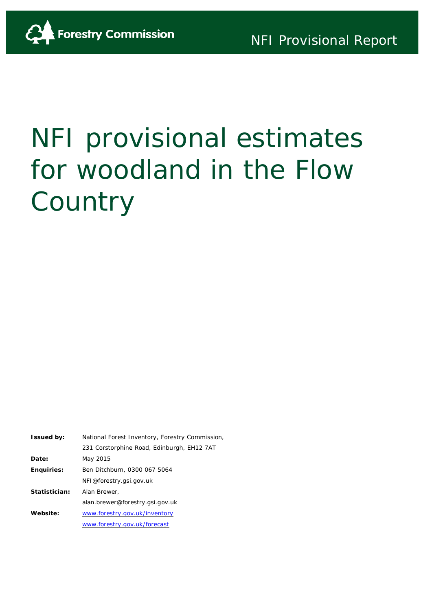

# NFI provisional estimates for woodland in the Flow **Country**

| <b>Issued by:</b> | National Forest Inventory, Forestry Commission, |  |  |
|-------------------|-------------------------------------------------|--|--|
|                   | 231 Corstorphine Road, Edinburgh, EH12 7AT      |  |  |
| Date:             | May 2015                                        |  |  |
| Enguiries:        | Ben Ditchburn, 0300 067 5064                    |  |  |
|                   | NFI@forestry.gsi.gov.uk                         |  |  |
| Statistician:     | Alan Brewer,                                    |  |  |
|                   | alan.brewer@forestry.gsi.gov.uk                 |  |  |
| Website:          | www.forestry.gov.uk/inventory                   |  |  |
|                   | www.forestry.gov.uk/forecast                    |  |  |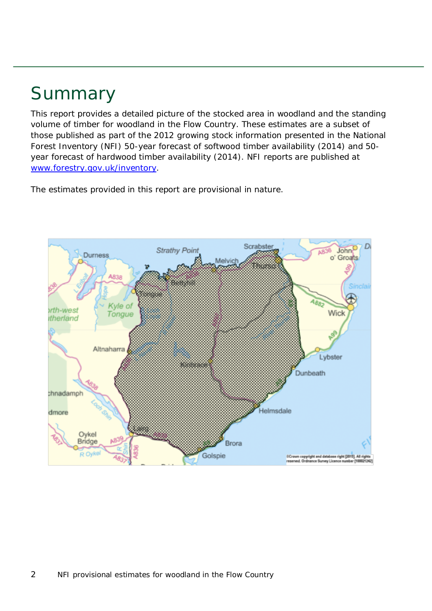## Summary

This report provides a detailed picture of the stocked area in woodland and the standing volume of timber for woodland in the Flow Country. These estimates are a subset of those published as part of the 2012 growing stock information presented in the National Forest Inventory (NFI) *50-year forecast of softwood timber availability* (2014) and *50 year forecast of hardwood timber availability* (2014). NFI reports are published at [www.forestry.gov.uk/inventory.](http://www.forestry.gov.uk/inventory)

The estimates provided in this report are provisional in nature.

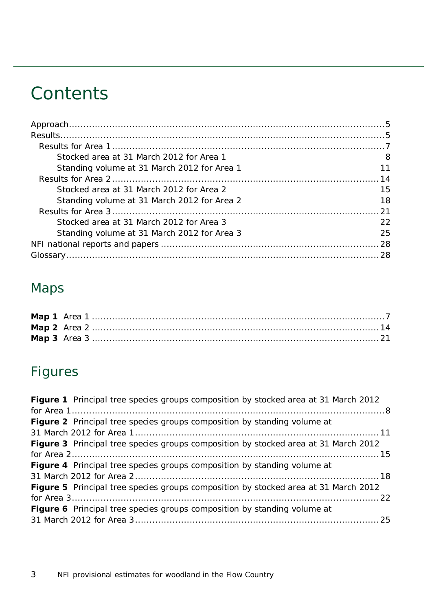## **Contents**

| Stocked area at 31 March 2012 for Area 1    | 8   |
|---------------------------------------------|-----|
| Standing volume at 31 March 2012 for Area 1 | 11  |
|                                             |     |
| Stocked area at 31 March 2012 for Area 2    | 15  |
| Standing volume at 31 March 2012 for Area 2 | 18  |
|                                             |     |
| Stocked area at 31 March 2012 for Area 3    | 22  |
| Standing volume at 31 March 2012 for Area 3 | 25. |
|                                             |     |
|                                             |     |

### Maps

## Figures

| Figure 1 Principal tree species groups composition by stocked area at 31 March 2012        |
|--------------------------------------------------------------------------------------------|
|                                                                                            |
| Figure 2 Principal tree species groups composition by standing volume at                   |
|                                                                                            |
| <b>Figure 3</b> Principal tree species groups composition by stocked area at 31 March 2012 |
|                                                                                            |
| <b>Figure 4</b> Principal tree species groups composition by standing volume at            |
|                                                                                            |
| Figure 5 Principal tree species groups composition by stocked area at 31 March 2012        |
|                                                                                            |
| Figure 6 Principal tree species groups composition by standing volume at                   |
|                                                                                            |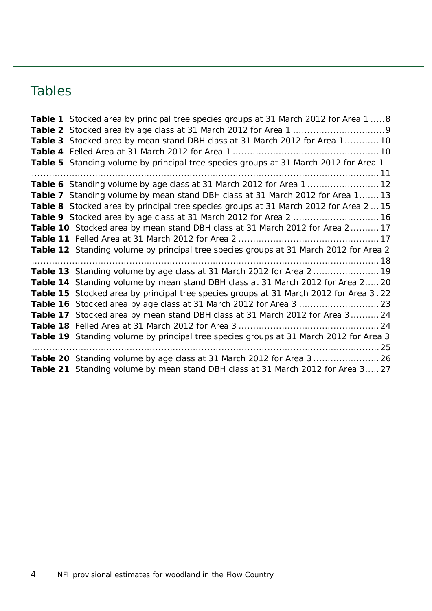### Tables

| Table 1 Stocked area by principal tree species groups at 31 March 2012 for Area 1 8   |
|---------------------------------------------------------------------------------------|
|                                                                                       |
| Table 3 Stocked area by mean stand DBH class at 31 March 2012 for Area 110            |
|                                                                                       |
| Table 5 Standing volume by principal tree species groups at 31 March 2012 for Area 1  |
|                                                                                       |
| Table 6 Standing volume by age class at 31 March 2012 for Area 1  12                  |
| Table 7 Standing volume by mean stand DBH class at 31 March 2012 for Area 1 13        |
| Table 8 Stocked area by principal tree species groups at 31 March 2012 for Area 2  15 |
| Table 9 Stocked area by age class at 31 March 2012 for Area 2  16                     |
| Table 10 Stocked area by mean stand DBH class at 31 March 2012 for Area 217           |
|                                                                                       |
| Table 12 Standing volume by principal tree species groups at 31 March 2012 for Area 2 |
|                                                                                       |
| Table 13 Standing volume by age class at 31 March 2012 for Area 2  19                 |
|                                                                                       |
| Table 14 Standing volume by mean stand DBH class at 31 March 2012 for Area 2 20       |
| Table 15 Stocked area by principal tree species groups at 31 March 2012 for Area 3.22 |
|                                                                                       |
| Table 17 Stocked area by mean stand DBH class at 31 March 2012 for Area 3 24          |
|                                                                                       |
| Table 19 Standing volume by principal tree species groups at 31 March 2012 for Area 3 |
|                                                                                       |
| Table 20 Standing volume by age class at 31 March 2012 for Area 3  26                 |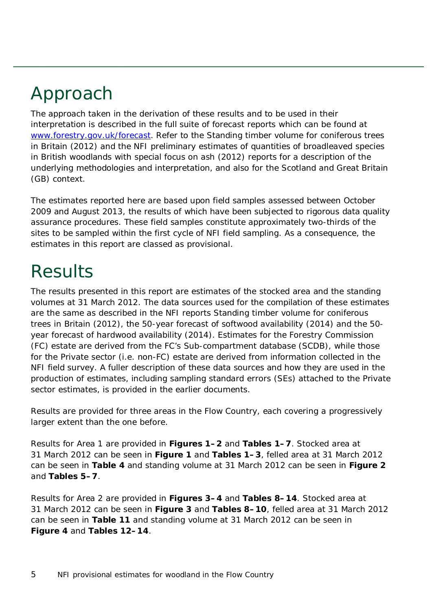## <span id="page-4-0"></span>Approach

The approach taken in the derivation of these results and to be used in their interpretation is described in the full suite of forecast reports which can be found at [www.forestry.gov.uk/forecast.](http://www.forestry.gov.uk/forecast) Refer to the *Standing timber volume for coniferous trees in Britain* (2012) and the *NFI preliminary estimates of quantities of broadleaved species in British woodlands with special focus on ash* (2012) reports for a description of the underlying methodologies and interpretation, and also for the Scotland and Great Britain (GB) context.

The estimates reported here are based upon field samples assessed between October 2009 and August 2013, the results of which have been subjected to rigorous data quality assurance procedures. These field samples constitute approximately two-thirds of the sites to be sampled within the first cycle of NFI field sampling. As a consequence, the estimates in this report are classed as provisional.

## <span id="page-4-1"></span>Results

The results presented in this report are estimates of the stocked area and the standing volumes at 31 March 2012. The data sources used for the compilation of these estimates are the same as described in the NFI reports *Standing timber volume for coniferous trees in Britain* (2012), the *50-year forecast of softwood availability* (2014) and the *50 year forecast of hardwood availability* (2014). Estimates for the Forestry Commission (FC) estate are derived from the FC's Sub-compartment database (SCDB), while those for the Private sector (i.e. non-FC) estate are derived from information collected in the NFI field survey. A fuller description of these data sources and how they are used in the production of estimates, including sampling standard errors (SEs) attached to the Private sector estimates, is provided in the earlier documents.

Results are provided for three areas in the Flow Country, each covering a progressively larger extent than the one before.

Results for Area 1 are provided in **Figures 1–2** and **Tables 1–7**. Stocked area at 31 March 2012 can be seen in **Figure 1** and **Tables 1–3**, felled area at 31 March 2012 can be seen in **Table 4** and standing volume at 31 March 2012 can be seen in **Figure 2** and **Tables 5–7**.

Results for Area 2 are provided in **Figures 3–4** and **Tables 8–14**. Stocked area at 31 March 2012 can be seen in **Figure 3** and **Tables 8–10**, felled area at 31 March 2012 can be seen in **Table 11** and standing volume at 31 March 2012 can be seen in **Figure 4** and **Tables 12–14**.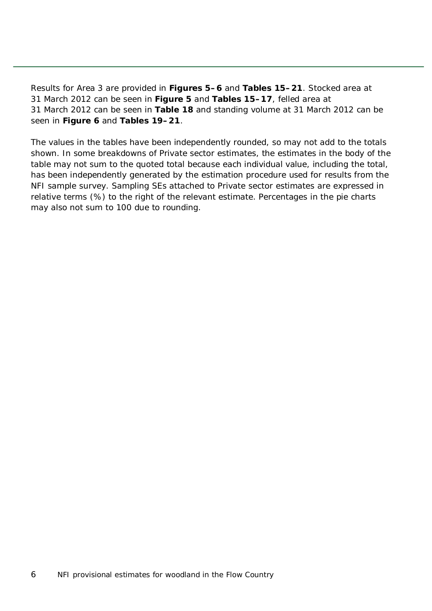Results for Area 3 are provided in **Figures 5–6** and **Tables 15–21**. Stocked area at 31 March 2012 can be seen in **Figure 5** and **Tables 15–17**, felled area at 31 March 2012 can be seen in **Table 18** and standing volume at 31 March 2012 can be seen in **Figure 6** and **Tables 19–21**.

The values in the tables have been independently rounded, so may not add to the totals shown. In some breakdowns of Private sector estimates, the estimates in the body of the table may not sum to the quoted total because each individual value, including the total, has been independently generated by the estimation procedure used for results from the NFI sample survey. Sampling SEs attached to Private sector estimates are expressed in relative terms (%) to the right of the relevant estimate. Percentages in the pie charts may also not sum to 100 due to rounding.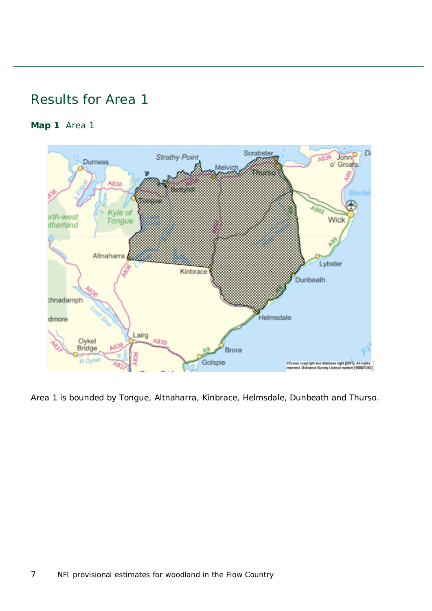### <span id="page-6-0"></span>Results for Area 1

<span id="page-6-1"></span>**Map 1** Area 1



Area 1 is bounded by Tongue, Altnaharra, Kinbrace, Helmsdale, Dunbeath and Thurso.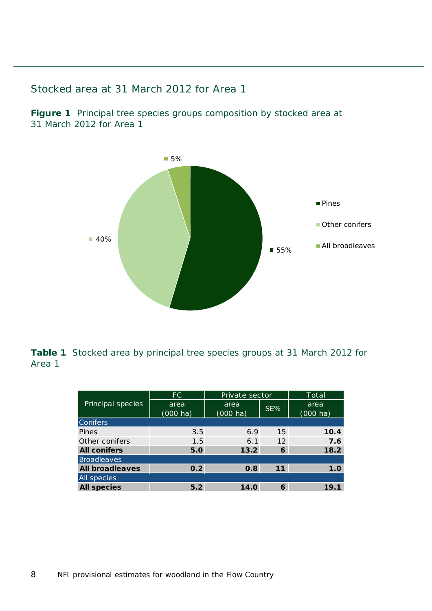<span id="page-7-0"></span>Stocked area at 31 March 2012 for Area 1

<span id="page-7-1"></span>**Figure 1** Principal tree species groups composition by stocked area at 31 March 2012 for Area 1



<span id="page-7-2"></span>**Table 1** Stocked area by principal tree species groups at 31 March 2012 for Area 1

|                        | FC.                        | Private sector                       |    | Total                      |
|------------------------|----------------------------|--------------------------------------|----|----------------------------|
| Principal species      | area<br>$(000 \text{ ha})$ | area<br>$SE\%$<br>$(000 \text{ ha})$ |    | area<br>$(000 \text{ ha})$ |
| <b>Conifers</b>        |                            |                                      |    |                            |
| Pines                  | 3.5                        | 6.9                                  | 15 | 10.4                       |
| Other conifers         | 1.5                        | 6.1                                  | 12 | 7.6                        |
| <b>All conifers</b>    | 5.0                        | 13.2                                 | 6  | 18.2                       |
| <b>Broadleaves</b>     |                            |                                      |    |                            |
| <b>All broadleaves</b> | 0.2                        | 0.8                                  | 11 | 1.0                        |
| All species            |                            |                                      |    |                            |
| <b>All species</b>     | 5.2                        | 14.0                                 | 6  | 19.1                       |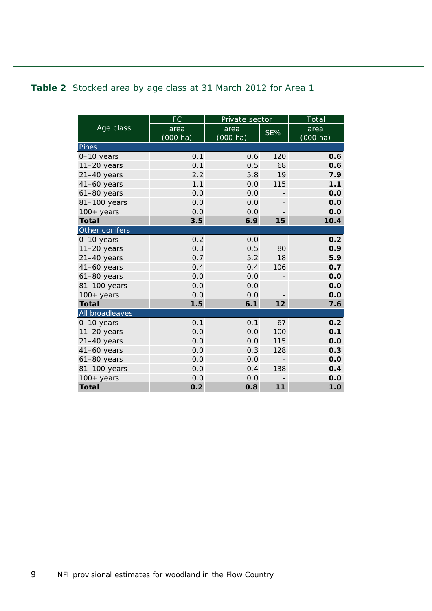#### <span id="page-8-0"></span>**Table 2** Stocked area by age class at 31 March 2012 for Area 1

|                 | FC                 | Private sector |                          | Total      |
|-----------------|--------------------|----------------|--------------------------|------------|
| Age class       | area               | area           | SE%                      | area       |
|                 | $(000 \text{ ha})$ | (000 ha)       |                          | $(000$ ha) |
| Pines           |                    |                |                          |            |
| 0-10 years      | 0.1                | 0.6            | 120                      | 0.6        |
| $11-20$ years   | 0.1                | 0.5            | 68                       | 0.6        |
| $21-40$ years   | 2.2                | 5.8            | 19                       | 7.9        |
| $41-60$ years   | 1.1                | 0.0            | 115                      | 1.1        |
| $61-80$ years   | 0.0                | 0.0            |                          | 0.0        |
| 81-100 years    | 0.0                | 0.0            | $\overline{\phantom{0}}$ | 0.0        |
| $100+$ years    | 0.0                | 0.0            |                          | 0.0        |
| <b>Total</b>    | 3.5                | 6.9            | 15                       | 10.4       |
| Other conifers  |                    |                |                          |            |
| 0-10 years      | 0.2                | 0.0            | $\overline{\phantom{m}}$ | 0.2        |
| $11-20$ years   | 0.3                | 0.5            | 80                       | 0.9        |
| $21-40$ years   | 0.7                | 5.2            | 18                       | 5.9        |
| $41-60$ years   | 0.4                | 0.4            | 106                      | 0.7        |
| $61-80$ years   | 0.0                | 0.0            |                          | 0.0        |
| 81-100 years    | 0.0                | 0.0            | $\overline{\phantom{0}}$ | 0.0        |
| $100+$ years    | 0.0                | 0.0            |                          | 0.0        |
| <b>Total</b>    | 1.5                | 6.1            | 12                       | 7.6        |
| All broadleaves |                    |                |                          |            |
| $0-10$ years    | 0.1                | 0.1            | 67                       | 0.2        |
| $11-20$ years   | 0.0                | 0.0            | 100                      | 0.1        |
| $21-40$ years   | 0.0                | 0.0            | 115                      | 0.0        |
| $41-60$ years   | 0.0                | 0.3            | 128                      | 0.3        |
| 61-80 years     | 0.0                | 0.0            | $\overline{a}$           | 0.0        |
| 81-100 years    | 0.0                | 0.4            | 138                      | O.4        |
| $100+$ years    | 0.0                | 0.0            |                          | 0.0        |
| <b>Total</b>    | 0.2                | 0.8            | 11                       | 1.0        |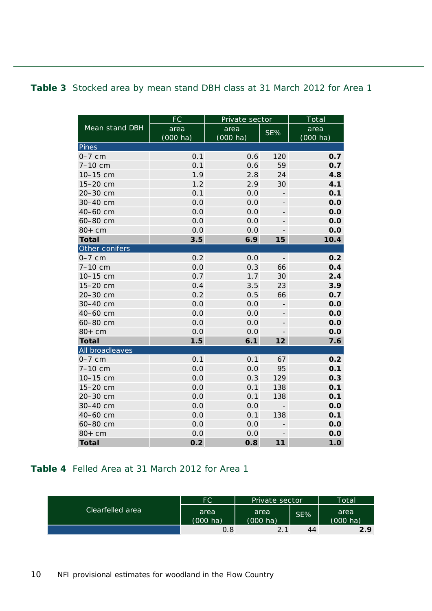#### <span id="page-9-0"></span>**Table 3** Stocked area by mean stand DBH class at 31 March 2012 for Area 1

|                 | FC                 | Private sector     |                          | Total              |
|-----------------|--------------------|--------------------|--------------------------|--------------------|
| Mean stand DBH  | area               | area               | SE%                      | area               |
|                 | $(000 \text{ ha})$ | $(000 \text{ ha})$ |                          | $(000 \text{ ha})$ |
| Pines           |                    |                    |                          |                    |
| $0-7$ cm        | 0.1                | 0.6                | 120                      | 0.7                |
| 7-10 cm         | 0.1                | 0.6                | 59                       | 0.7                |
| 10-15 cm        | 1.9                | 2.8                | 24                       | 4.8                |
| 15-20 cm        | 1.2                | 2.9                | 30                       | 4.1                |
| 20-30 cm        | 0.1                | 0.0                | $\overline{\phantom{0}}$ | 0.1                |
| 30-40 cm        | 0.0                | 0.0                |                          | 0.0                |
| 40-60 cm        | 0.0                | 0.0                |                          | 0.0                |
| 60-80 cm        | 0.0                | 0.0                |                          | 0.0                |
| $80+cm$         | 0.0                | 0.0                | -                        | 0.0                |
| <b>Total</b>    | 3.5                | 6.9                | 15                       | 10.4               |
| Other conifers  |                    |                    |                          |                    |
| $0-7$ cm        | 0.2                | 0.0                | $\overline{\phantom{a}}$ | 0.2                |
| 7-10 cm         | 0.0                | 0.3                | 66                       | 0.4                |
| 10-15 cm        | 0.7                | 1.7                | 30                       | 2.4                |
| 15-20 cm        | 0.4                | 3.5                | 23                       | 3.9                |
| 20-30 cm        | 0.2                | 0.5                | 66                       | 0.7                |
| 30-40 cm        | 0.0                | 0.0                |                          | 0.0                |
| 40-60 cm        | 0.0                | 0.0                | $\overline{\phantom{0}}$ | 0.0                |
| 60-80 cm        | 0.0                | 0.0                |                          | 0.0                |
| $80+cm$         | 0.0                | 0.0                |                          | 0.0                |
| <b>Total</b>    | 1.5                | 6.1                | 12                       | 7.6                |
| All broadleaves |                    |                    |                          |                    |
| $0-7$ cm        | 0.1                | 0.1                | 67                       | 0.2                |
| 7-10 cm         | 0.0                | 0.0                | 95                       | 0.1                |
| 10-15 cm        | 0.0                | 0.3                | 129                      | 0.3                |
| 15-20 cm        | 0.0                | 0.1                | 138                      | 0.1                |
| 20-30 cm        | 0.0                | 0.1                | 138                      | 0.1                |
| 30-40 cm        | 0.0                | 0.0                |                          | 0.0                |
| 40-60 cm        | 0.0                | 0.1                | 138                      | 0.1                |
| 60-80 cm        | 0.0                | 0.0                |                          | 0.0                |
| $80+cm$         | 0.0                | 0.0                | $\overline{\phantom{0}}$ | 0.0                |
| <b>Total</b>    | 0.2                | 0.8                | 11                       | 1.0                |

#### <span id="page-9-1"></span>**Table 4** Felled Area at 31 March 2012 for Area 1

|                  | FC                         | Private sector             |     | <b>Total</b>               |
|------------------|----------------------------|----------------------------|-----|----------------------------|
| Clearfelled area | area<br>$(000 \text{ ha})$ | area<br>$(000 \text{ ha})$ | SE% | area<br>$(000 \text{ ha})$ |
|                  | 0.8                        | 2.1                        | 44  | 2.9                        |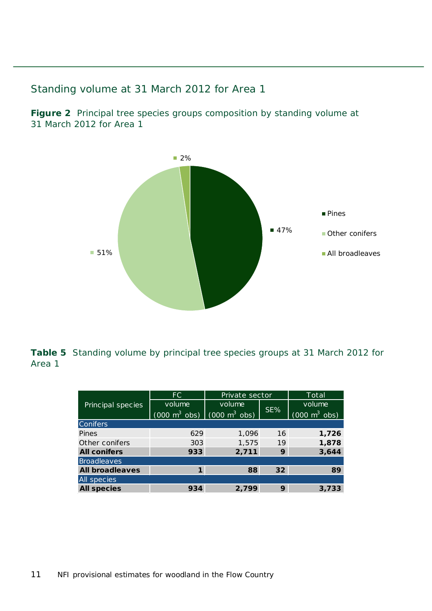#### <span id="page-10-0"></span>Standing volume at 31 March 2012 for Area 1

<span id="page-10-1"></span>**Figure 2** Principal tree species groups composition by standing volume at 31 March 2012 for Area 1



<span id="page-10-2"></span>**Table 5** Standing volume by principal tree species groups at 31 March 2012 for Area 1

|                        | FC.                                                             | Private sector |                 | Total                           |
|------------------------|-----------------------------------------------------------------|----------------|-----------------|---------------------------------|
| Principal species      | volume                                                          | volume         |                 | volume                          |
|                        | $(000 \text{ m}^3 \text{ obs})$ $(000 \text{ m}^3 \text{ obs})$ |                | SE%             | $(000 \text{ m}^3 \text{ obs})$ |
| <b>Conifers</b>        |                                                                 |                |                 |                                 |
| Pines                  | 629                                                             | 1,096          | 16              | 1,726                           |
| Other conifers         | 303                                                             | 1,575          | 19              | 1,878                           |
| <b>All conifers</b>    | 933                                                             | 2,711          | 9               | 3,644                           |
| Broadleaves            |                                                                 |                |                 |                                 |
| <b>All broadleaves</b> | 1                                                               | 88             | 32 <sub>2</sub> | 89                              |
| All species            |                                                                 |                |                 |                                 |
| <b>All species</b>     | 934                                                             | 2,799          | 9               | 3,733                           |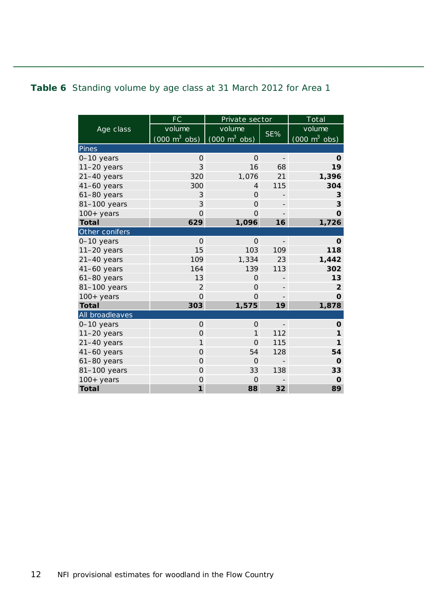#### <span id="page-11-0"></span>**Table 6** Standing volume by age class at 31 March 2012 for Area 1

|                 | FC                                  | Private sector                      |                          | Total                               |
|-----------------|-------------------------------------|-------------------------------------|--------------------------|-------------------------------------|
| Age class       | volume                              | volume                              |                          | volume                              |
|                 | $(000 \; \text{m}^3 \; \text{obs})$ | $(000 \; \text{m}^3 \; \text{obs})$ | SE%                      | $(000 \; \text{m}^3 \; \text{obs})$ |
| Pines           |                                     |                                     |                          |                                     |
| 0-10 years      | $\Omega$                            | $\Omega$                            | $\overline{\phantom{m}}$ | $\mathbf 0$                         |
| $11-20$ years   | 3                                   | 16                                  | 68                       | 19                                  |
| $21-40$ years   | 320                                 | 1,076                               | 21                       | 1,396                               |
| $41-60$ years   | 300                                 | 4                                   | 115                      | 304                                 |
| $61-80$ years   | 3                                   | $\Omega$                            |                          | 3                                   |
| 81-100 years    | 3                                   | $\Omega$                            | $\overline{\phantom{0}}$ | 3                                   |
| $100+years$     | $\overline{O}$                      | $\Omega$                            |                          | $\overline{O}$                      |
| <b>Total</b>    | 629                                 | 1,096                               | 16                       | 1,726                               |
| Other conifers  |                                     |                                     |                          |                                     |
| 0-10 years      | $\Omega$                            | $\Omega$                            | $\qquad \qquad -$        | 0                                   |
| $11-20$ years   | 15                                  | 103                                 | 109                      | 118                                 |
| $21-40$ years   | 109                                 | 1,334                               | 23                       | 1,442                               |
| $41-60$ years   | 164                                 | 139                                 | 113                      | 302                                 |
| $61-80$ years   | 13                                  | $\Omega$                            |                          | 13                                  |
| 81-100 years    | $\overline{2}$                      | $\Omega$                            |                          | $\overline{2}$                      |
| $100+years$     | $\overline{O}$                      | $\Omega$                            |                          | $\Omega$                            |
| <b>Total</b>    | 303                                 | 1,575                               | 19                       | 1,878                               |
| All broadleaves |                                     |                                     |                          |                                     |
| 0-10 years      | $\mathbf{O}$                        | $\Omega$                            | $\qquad \qquad -$        | O                                   |
| $11-20$ years   | $\overline{O}$                      | 1                                   | 112                      | 1                                   |
| $21-40$ years   | $\mathbf{1}$                        | $\Omega$                            | 115                      | 1                                   |
| $41-60$ years   | $\overline{O}$                      | 54                                  | 128                      | 54                                  |
| $61-80$ years   | $\mathbf 0$                         | $\Omega$                            |                          | O                                   |
| 81-100 years    | $\overline{O}$                      | 33                                  | 138                      | 33                                  |
| $100+$ years    | $\mathbf 0$                         | $\Omega$                            |                          | O                                   |
| <b>Total</b>    | $\mathbf{1}$                        | 88                                  | 32                       | 89                                  |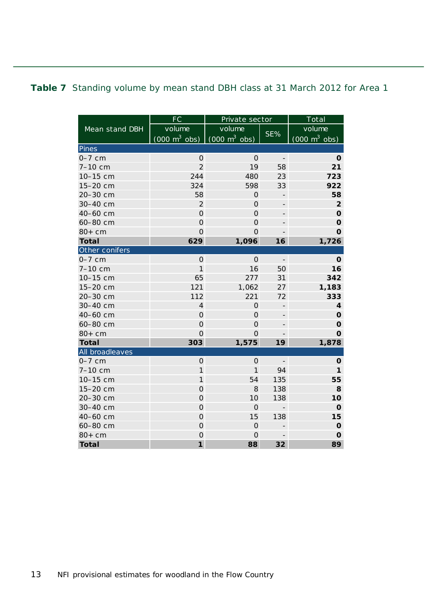#### <span id="page-12-0"></span>**Table 7** Standing volume by mean stand DBH class at 31 March 2012 for Area 1

|                 | FC                              | Private sector                      |                          | Total                           |
|-----------------|---------------------------------|-------------------------------------|--------------------------|---------------------------------|
| Mean stand DBH  | volume                          | volume                              |                          | volume                          |
|                 | $(000 \text{ m}^3 \text{ obs})$ | $(000 \; \text{m}^3 \; \text{obs})$ | SE%                      | $(000 \text{ m}^3 \text{ obs})$ |
| Pines           |                                 |                                     |                          |                                 |
| $0-7$ cm        | $\mathsf{O}\xspace$             | $\mathbf 0$                         | $\frac{1}{\sqrt{2}}$     | O                               |
| 7-10 cm         | $\overline{2}$                  | 19                                  | 58                       | 21                              |
| 10-15 cm        | 244                             | 480                                 | 23                       | 723                             |
| 15-20 cm        | 324                             | 598                                 | 33                       | 922                             |
| 20-30 cm        | 58                              | $\overline{O}$                      |                          | 58                              |
| 30-40 cm        | $\overline{2}$                  | $\mathbf 0$                         | -                        | $\overline{\mathbf{2}}$         |
| 40-60 cm        | $\mathbf 0$                     | $\mathbf 0$                         | -                        | $\mathbf 0$                     |
| 60-80 cm        | $\mathbf 0$                     | $\mathbf 0$                         | $\overline{\phantom{0}}$ | $\mathbf 0$                     |
| $80+cm$         | $\overline{O}$                  | $\overline{O}$                      | $\overline{\phantom{m}}$ | $\mathbf{o}$                    |
| <b>Total</b>    | 629                             | 1,096                               | 16                       | 1,726                           |
| Other conifers  |                                 |                                     |                          |                                 |
| $0-7$ cm        | $\mathbf 0$                     | $\mathbf 0$                         | $\overline{\phantom{a}}$ | $\mathbf{o}$                    |
| 7-10 cm         | $\mathbf{1}$                    | 16                                  | 50                       | 16                              |
| 10-15 cm        | 65                              | 277                                 | 31                       | 342                             |
| 15-20 cm        | 121                             | 1,062                               | 27                       | 1,183                           |
| 20-30 cm        | 112                             | 221                                 | 72                       | 333                             |
| 30-40 cm        | $\overline{\mathbf{4}}$         | $\overline{O}$                      | $\overline{\phantom{m}}$ | $\overline{\mathbf{4}}$         |
| 40-60 cm        | $\mathbf 0$                     | $\mathsf{O}\xspace$                 |                          | $\mathbf 0$                     |
| 60-80 cm        | $\mathsf{O}$                    | $\mathsf{O}\xspace$                 |                          | $\mathbf 0$                     |
| $80+cm$         | $\mathbf 0$                     | 0                                   |                          | $\mathbf O$                     |
| <b>Total</b>    | 303                             | 1,575                               | 19                       | 1,878                           |
| All broadleaves |                                 |                                     |                          |                                 |
| $0-7$ cm        | $\mathbf 0$                     | $\mathsf O$                         | $\overline{\phantom{a}}$ | O                               |
| 7-10 cm         | $\mathbf{1}$                    | $\mathbf{1}$                        | 94                       | 1                               |
| 10-15 cm        | $\mathbf{1}$                    | 54                                  | 135                      | 55                              |
| 15-20 cm        | $\mathsf{O}\xspace$             | 8                                   | 138                      | 8                               |
| 20-30 cm        | $\overline{O}$                  | 10                                  | 138                      | 10                              |
| 30-40 cm        | $\mathbf 0$                     | $\Omega$                            | $\qquad \qquad -$        | $\mathbf 0$                     |
| 40-60 cm        | $\mathsf O$                     | 15                                  | 138                      | 15                              |
| 60-80 cm        | $\mathbf 0$                     | $\mathbf 0$                         | $\qquad \qquad -$        | $\mathbf 0$                     |
| $80+cm$         | $\mathbf 0$                     | $\mathbf 0$                         | $\overline{\phantom{m}}$ | $\mathbf 0$                     |
| <b>Total</b>    | $\mathbf{1}$                    | 88                                  | 32                       | 89                              |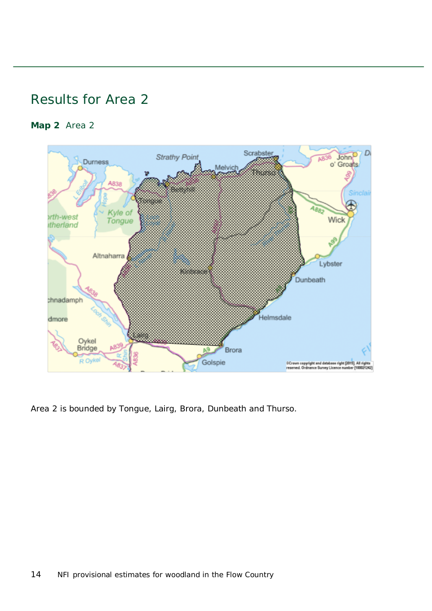### <span id="page-13-0"></span>Results for Area 2

#### <span id="page-13-1"></span>**Map 2** Area 2



Area 2 is bounded by Tongue, Lairg, Brora, Dunbeath and Thurso.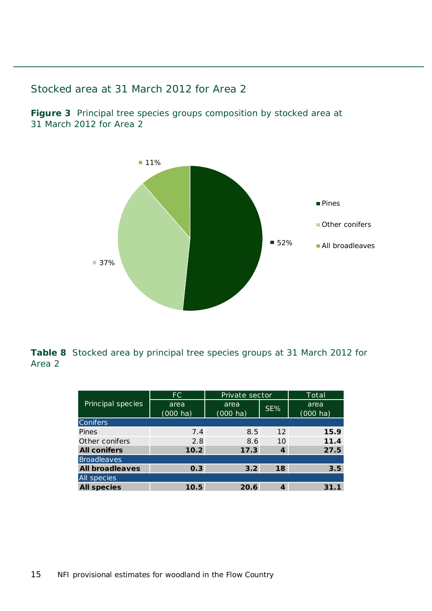#### <span id="page-14-0"></span>Stocked area at 31 March 2012 for Area 2

<span id="page-14-1"></span>**Figure 3** Principal tree species groups composition by stocked area at 31 March 2012 for Area 2



<span id="page-14-2"></span>**Table 8** Stocked area by principal tree species groups at 31 March 2012 for Area 2

|                        | FC.                        | Private sector             |     | Total                      |
|------------------------|----------------------------|----------------------------|-----|----------------------------|
| Principal species      | area<br>$(000 \text{ ha})$ | area<br>$(000 \text{ ha})$ | SE% | area<br>$(000 \text{ ha})$ |
| <b>Conifers</b>        |                            |                            |     |                            |
| Pines                  | 7.4                        | 8.5                        | 12  | 15.9                       |
| Other conifers         | 2.8                        | 8.6                        | 10  | 11.4                       |
| <b>All conifers</b>    | 10.2                       | 17.3                       | 4   | 27.5                       |
| <b>Broadleaves</b>     |                            |                            |     |                            |
| <b>All broadleaves</b> | 0.3                        | 3.2                        | 18  | 3.5                        |
| All species            |                            |                            |     |                            |
| <b>All species</b>     | 10.5                       | 20.6                       | 4   | 31.1                       |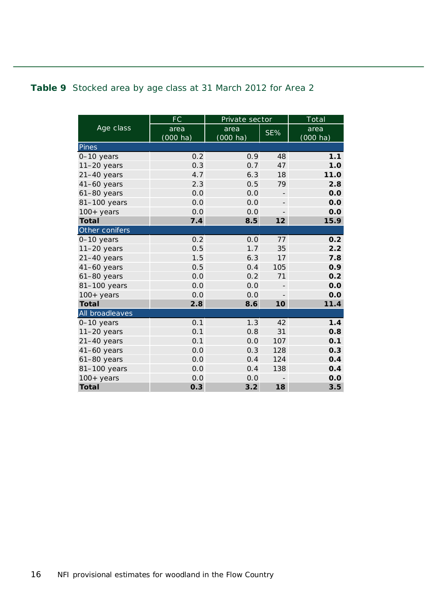#### <span id="page-15-0"></span>**Table 9** Stocked area by age class at 31 March 2012 for Area 2

|                 | <b>FC</b>  | Private sector |                          | Total              |
|-----------------|------------|----------------|--------------------------|--------------------|
| Age class       | area       | area           | SE%                      | area               |
|                 | $(000$ ha) | (000 ha)       |                          | $(000 \text{ ha})$ |
| Pines           |            |                |                          |                    |
| 0-10 years      | 0.2        | 0.9            | 48                       | 1.1                |
| $11-20$ years   | 0.3        | 0.7            | 47                       | 1.0                |
| $21-40$ years   | 4.7        | 6.3            | 18                       | 11.0               |
| $41-60$ years   | 2.3        | 0.5            | 79                       | 2.8                |
| $61-80$ years   | 0.0        | 0.0            | $\overline{\phantom{a}}$ | 0.0                |
| 81-100 years    | 0.0        | 0.0            | $\overline{\phantom{0}}$ | 0.0                |
| $100+$ years    | 0.0        | 0.0            | $\qquad \qquad -$        | 0.0                |
| <b>Total</b>    | 7.4        | 8.5            | 12                       | 15.9               |
| Other conifers  |            |                |                          |                    |
| 0-10 years      | 0.2        | 0.0            | 77                       | 0.2                |
| $11-20$ years   | 0.5        | 1.7            | 35                       | 2.2                |
| $21-40$ years   | 1.5        | 6.3            | 17                       | 7.8                |
| 41-60 years     | 0.5        | 0.4            | 105                      | 0.9                |
| $61-80$ years   | 0.0        | 0.2            | 71                       | 0.2                |
| 81-100 years    | 0.0        | 0.0            | $\overline{\phantom{0}}$ | 0.0                |
| $100+$ years    | 0.0        | 0.0            |                          | 0.0                |
| <b>Total</b>    | 2.8        | 8.6            | 10                       | 11.4               |
| All broadleaves |            |                |                          |                    |
| 0-10 years      | 0.1        | 1.3            | 42                       | 1.4                |
| $11-20$ years   | 0.1        | 0.8            | 31                       | 0.8                |
| $21-40$ years   | 0.1        | 0.0            | 107                      | 0.1                |
| $41-60$ years   | 0.0        | 0.3            | 128                      | 0.3                |
| 61-80 years     | 0.0        | 0.4            | 124                      | 0.4                |
| 81-100 years    | 0.0        | 0.4            | 138                      | 0.4                |
| $100+$ years    | 0.0        | 0.0            |                          | 0.0                |
| <b>Total</b>    | 0.3        | 3.2            | 18                       | 3.5                |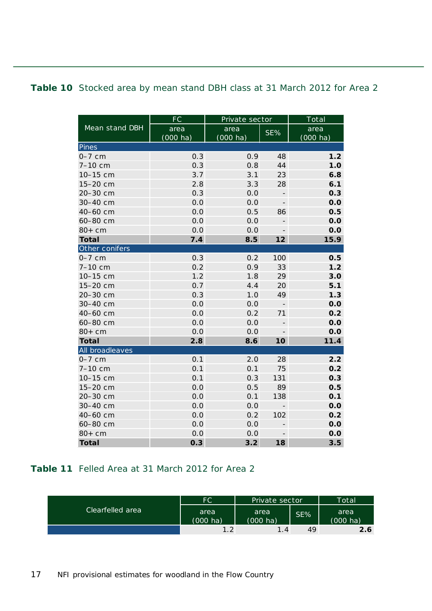#### <span id="page-16-0"></span>**Table 10** Stocked area by mean stand DBH class at 31 March 2012 for Area 2

|                 | FC                 | Private sector     |                          | Total              |
|-----------------|--------------------|--------------------|--------------------------|--------------------|
| Mean stand DBH  | area               | area               | SE%                      | area               |
|                 | $(000 \text{ ha})$ | $(000 \text{ ha})$ |                          | $(000 \text{ ha})$ |
| Pines           |                    |                    |                          |                    |
| $0-7$ cm        | 0.3                | 0.9                | 48                       | 1.2                |
| $7-10$ cm       | 0.3                | 0.8                | 44                       | 1.0                |
| 10-15 cm        | 3.7                | 3.1                | 23                       | 6.8                |
| 15-20 cm        | 2.8                | 3.3                | 28                       | 6.1                |
| 20-30 cm        | 0.3                | 0.0                | $\overline{\phantom{0}}$ | 0.3                |
| 30-40 cm        | 0.0                | 0.0                | $\overline{\phantom{m}}$ | 0.0                |
| 40-60 cm        | 0.0                | 0.5                | 86                       | 0.5                |
| 60-80 cm        | 0.0                | 0.0                |                          | 0.0                |
| $80+cm$         | 0.0                | 0.0                | -                        | 0.0                |
| <b>Total</b>    | 7.4                | 8.5                | 12                       | 15.9               |
| Other conifers  |                    |                    |                          |                    |
| $0-7$ cm        | 0.3                | 0.2                | 100                      | 0.5                |
| $7-10$ cm       | 0.2                | 0.9                | 33                       | 1.2                |
| 10-15 cm        | 1.2                | 1.8                | 29                       | 3.0                |
| 15-20 cm        | 0.7                | 4.4                | 20                       | 5.1                |
| 20-30 cm        | 0.3                | 1.0                | 49                       | 1.3                |
| 30-40 cm        | 0.0                | 0.0                | $\overline{\phantom{a}}$ | 0.0                |
| 40-60 cm        | 0.0                | 0.2                | 71                       | 0.2                |
| 60-80 cm        | 0.0                | 0.0                |                          | 0.0                |
| $80+cm$         | 0.0                | 0.0                |                          | 0.0                |
| <b>Total</b>    | 2.8                | 8.6                | 10                       | 11.4               |
| All broadleaves |                    |                    |                          |                    |
| $0-7$ cm        | 0.1                | 2.0                | 28                       | 2.2                |
| 7-10 cm         | 0.1                | 0.1                | 75                       | 0.2                |
| 10-15 cm        | 0.1                | 0.3                | 131                      | 0.3                |
| 15-20 cm        | 0.0                | 0.5                | 89                       | 0.5                |
| 20-30 cm        | 0.0                | 0.1                | 138                      | 0.1                |
| 30-40 cm        | 0.0                | 0.0                | $\overline{\phantom{0}}$ | 0.0                |
| 40-60 cm        | 0.0                | 0.2                | 102                      | 0.2                |
| 60-80 cm        | 0.0                | 0.0                |                          | 0.0                |
| $80+cm$         | 0.0                | 0.0                | $\qquad \qquad -$        | 0.0                |
| <b>Total</b>    | 0.3                | 3.2                | 18                       | 3.5                |

#### <span id="page-16-1"></span>**Table 11** Felled Area at 31 March 2012 for Area 2

|                  | <b>FC</b>                  | Private sector             |     | Total                      |
|------------------|----------------------------|----------------------------|-----|----------------------------|
| Clearfelled area | area<br>$(000 \text{ ha})$ | area<br>$(000 \text{ ha})$ | SE% | area<br>$(000 \text{ ha})$ |
|                  | 1 າ                        | 1.4                        | 49  | 2.6                        |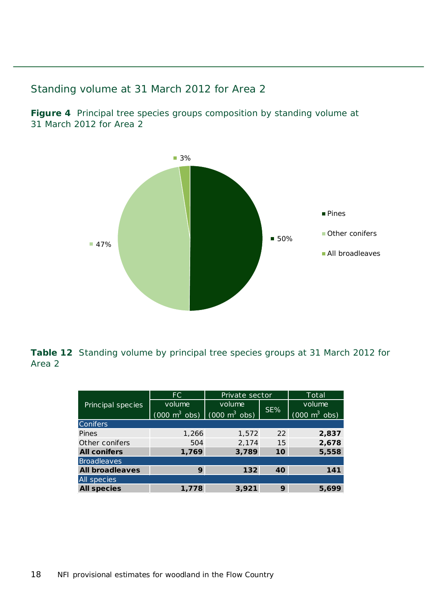#### <span id="page-17-0"></span>Standing volume at 31 March 2012 for Area 2

<span id="page-17-1"></span>**Figure 4** Principal tree species groups composition by standing volume at 31 March 2012 for Area 2



<span id="page-17-2"></span>**Table 12** Standing volume by principal tree species groups at 31 March 2012 for Area 2

|                        | FC.                                                             | Private sector |     | Total                           |
|------------------------|-----------------------------------------------------------------|----------------|-----|---------------------------------|
| Principal species      | volume                                                          | volume         | SE% | volume                          |
|                        | $(000 \text{ m}^3 \text{ obs})$ $(000 \text{ m}^3 \text{ obs})$ |                |     | $(000 \text{ m}^3 \text{ obs})$ |
| <b>Conifers</b>        |                                                                 |                |     |                                 |
| Pines                  | 1,266                                                           | 1,572          | 22  | 2,837                           |
| Other conifers         | 504                                                             | 2,174          | 15  | 2,678                           |
| <b>All conifers</b>    | 1,769                                                           | 3,789          | 10  | 5,558                           |
| Broadleaves            |                                                                 |                |     |                                 |
| <b>All broadleaves</b> | 9                                                               | 132            | 40  | 141                             |
| <b>All species</b>     |                                                                 |                |     |                                 |
| <b>All species</b>     | 1,778                                                           | 3,921          | 9   | 5,699                           |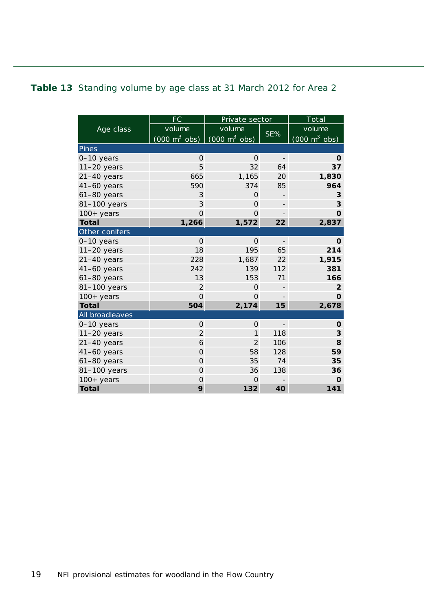#### <span id="page-18-0"></span>**Table 13** Standing volume by age class at 31 March 2012 for Area 2

|                 | FC                                  | Private sector                  |                          | To tal                              |
|-----------------|-------------------------------------|---------------------------------|--------------------------|-------------------------------------|
| Age class       | volume                              | volume                          |                          | volume                              |
|                 | $(000 \; \text{m}^3 \; \text{obs})$ | $(000 \text{ m}^3 \text{ obs})$ | SE%                      | $(000 \; \text{m}^3 \; \text{obs})$ |
| Pines           |                                     |                                 |                          |                                     |
| 0-10 years      | $\mathbf{O}$                        | $\Omega$                        | $\overline{\phantom{m}}$ | $\mathbf 0$                         |
| $11-20$ years   | 5                                   | 32                              | 64                       | 37                                  |
| $21-40$ years   | 665                                 | 1,165                           | 20                       | 1,830                               |
| $41-60$ years   | 590                                 | 374                             | 85                       | 964                                 |
| $61-80$ years   | 3                                   | $\Omega$                        |                          | 3                                   |
| 81-100 years    | 3                                   | $\Omega$                        | $\overline{\phantom{0}}$ | 3                                   |
| $100+years$     | $\overline{O}$                      | $\Omega$                        |                          | $\Omega$                            |
| <b>Total</b>    | 1,266                               | 1,572                           | 22                       | 2,837                               |
| Other conifers  |                                     |                                 |                          |                                     |
| 0-10 years      | $\Omega$                            | $\Omega$                        | $\overline{\phantom{0}}$ | O                                   |
| $11-20$ years   | 18                                  | 195                             | 65                       | 214                                 |
| $21-40$ years   | 228                                 | 1,687                           | 22                       | 1,915                               |
| $41-60$ years   | 242                                 | 139                             | 112                      | 381                                 |
| $61-80$ years   | 13                                  | 153                             | 71                       | 166                                 |
| 81-100 years    | 2                                   | $\Omega$                        |                          | $\overline{2}$                      |
| $100+years$     | $\overline{O}$                      | $\Omega$                        |                          | $\Omega$                            |
| <b>Total</b>    | 504                                 | 2,174                           | 15                       | 2,678                               |
| All broadleaves |                                     |                                 |                          |                                     |
| 0-10 years      | $\Omega$                            | $\Omega$                        | $\overline{\phantom{a}}$ | O                                   |
| $11-20$ years   | $\overline{2}$                      | 1                               | 118                      | 3                                   |
| $21-40$ years   | 6                                   | $\overline{2}$                  | 106                      | 8                                   |
| $41-60$ years   | $\overline{O}$                      | 58                              | 128                      | 59                                  |
| 61-80 years     | $\Omega$                            | 35                              | 74                       | 35                                  |
| 81-100 years    | $\overline{O}$                      | 36                              | 138                      | 36                                  |
| $100+$ years    | $\Omega$                            | $\Omega$                        |                          | O                                   |
| <b>Total</b>    | 9                                   | 132                             | 40                       | 141                                 |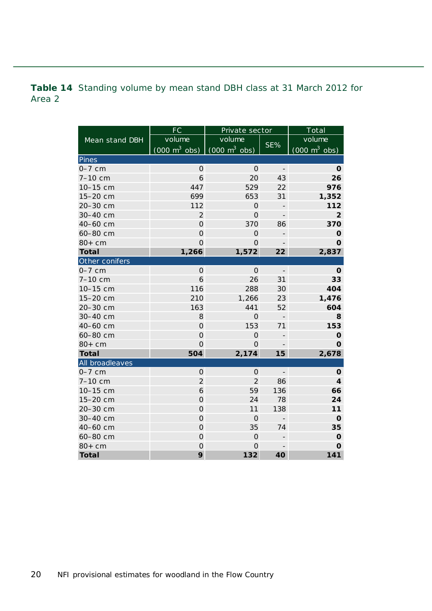<span id="page-19-0"></span>**Table 14** Standing volume by mean stand DBH class at 31 March 2012 for Area 2

| FC              |                                 | Private sector                         |                          | $\overline{\text{Total}}$       |
|-----------------|---------------------------------|----------------------------------------|--------------------------|---------------------------------|
| Mean stand DBH  | volume                          | volume                                 |                          | volume                          |
|                 | $(000 \text{ m}^3 \text{ obs})$ | $\frac{1}{2}$ (000 m <sup>3</sup> obs) | SE%                      | $(000 \text{ m}^3 \text{ obs})$ |
| Pines           |                                 |                                        |                          |                                 |
| $0-7$ cm        | $\mathbf{O}$                    | $\Omega$                               | $\overline{\phantom{a}}$ | O                               |
| 7-10 cm         | $\mathfrak b$                   | 20                                     | 43                       | 26                              |
| 10-15 cm        | 447                             | 529                                    | 22                       | 976                             |
| 15-20 cm        | 699                             | 653                                    | 31                       | 1,352                           |
| 20-30 cm        | 112                             | $\mathsf O$                            | -                        | 112                             |
| 30-40 cm        | $\mathbf 2$                     | $\mathbf 0$                            | $\overline{\phantom{m}}$ | $\overline{2}$                  |
| 40-60 cm        | $\overline{O}$                  | 370                                    | 86                       | 370                             |
| 60-80 cm        | $\overline{O}$                  | $\overline{O}$                         | $\overline{a}$           | $\mathbf 0$                     |
| $80+cm$         | $\overline{O}$                  | $\overline{O}$                         |                          | $\mathbf{o}$                    |
| <b>Total</b>    | 1,266                           | 1,572                                  | 22                       | 2,837                           |
| Other conifers  |                                 |                                        |                          |                                 |
| $0-7$ cm        | $\overline{0}$                  | $\overline{O}$                         | $\frac{1}{2}$            | 0                               |
| 7-10 cm         | 6                               | 26                                     | 31                       | 33                              |
| 10-15 cm        | 116                             | 288                                    | 30                       | 404                             |
| 15-20 cm        | 210                             | 1,266                                  | 23                       | 1,476                           |
| 20-30 cm        | 163                             | 441                                    | 52                       | 604                             |
| 30-40 cm        | 8                               | $\Omega$                               | $\frac{1}{2}$            | 8                               |
| 40-60 cm        | $\mathbf{O}$                    | 153                                    | 71                       | 153                             |
| 60-80 cm        | $\mathbf{O}$                    | 0                                      | $\qquad \qquad -$        | O                               |
| $80+cm$         | $\mathbf{O}$                    | 0                                      | $\overline{\phantom{0}}$ | $\mathbf 0$                     |
| <b>Total</b>    | 504                             | 2,174                                  | 15                       | 2,678                           |
| All broadleaves |                                 |                                        |                          |                                 |
| $0-7$ cm        | $\mathsf{O}\xspace$             | $\mathsf{O}\xspace$                    | $\overline{\phantom{a}}$ | O                               |
| 7-10 cm         | $\overline{2}$                  | $\overline{2}$                         | 86                       | $\overline{\mathbf{4}}$         |
| 10-15 cm        | 6                               | 59                                     | 136                      | 66                              |
| 15-20 cm        | $\overline{O}$                  | 24                                     | 78                       | 24                              |
| 20-30 cm        | $\mathbf 0$                     | 11                                     | 138                      | 11                              |
| 30-40 cm        | $\mathbf 0$                     | $\mathsf O$                            | $\overline{\phantom{0}}$ | $\mathbf 0$                     |
| 40-60 cm        | $\mathbf 0$                     | 35                                     | 74                       | 35                              |
| 60-80 cm        | $\overline{0}$                  | $\overline{O}$                         | $\overline{a}$           | $\mathbf 0$                     |
| $80+cm$         | $\overline{0}$                  | $\overline{O}$                         | $\overline{\phantom{m}}$ | $\mathbf O$                     |
| <b>Total</b>    | 9                               | 132                                    | 40                       | 141                             |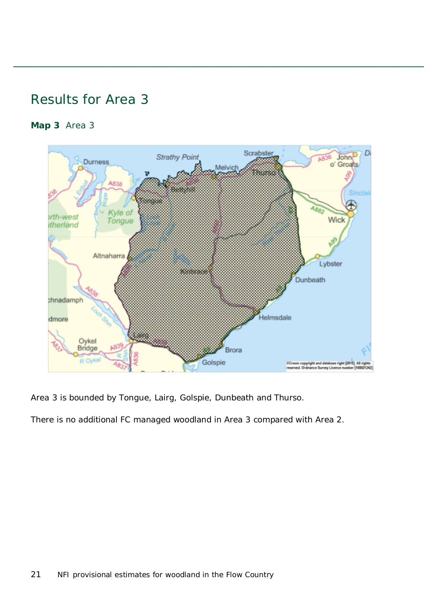### <span id="page-20-0"></span>Results for Area 3

#### <span id="page-20-1"></span>**Map 3** Area 3



Area 3 is bounded by Tongue, Lairg, Golspie, Dunbeath and Thurso.

There is no additional FC managed woodland in Area 3 compared with Area 2.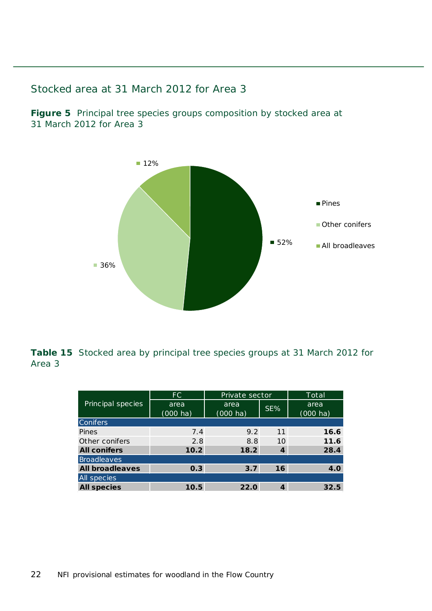#### <span id="page-21-0"></span>Stocked area at 31 March 2012 for Area 3

<span id="page-21-1"></span>**Figure 5** Principal tree species groups composition by stocked area at 31 March 2012 for Area 3



<span id="page-21-2"></span>**Table 15** Stocked area by principal tree species groups at 31 March 2012 for Area 3

|                        | FC.                | Private sector     |     | Total              |
|------------------------|--------------------|--------------------|-----|--------------------|
| Principal species      | area               | area               | SE% | area               |
|                        | $(000 \text{ ha})$ | $(000 \text{ ha})$ |     | $(000 \text{ ha})$ |
| <b>Conifers</b>        |                    |                    |     |                    |
| Pines                  | 7.4                | 9.2                | 11  | 16.6               |
| Other conifers         | 2.8                | 8.8                | 10  | 11.6               |
| <b>All conifers</b>    | 10.2               | 18.2               | 4   | 28.4               |
| <b>Broadleaves</b>     |                    |                    |     |                    |
| <b>All broadleaves</b> | 0.3                | 3.7                | 16  | 4.0                |
| All species            |                    |                    |     |                    |
| <b>All species</b>     | 10.5               | 22.0               | 4   | 32.5               |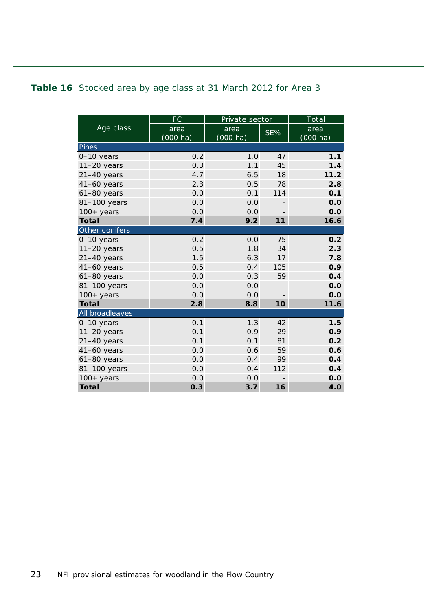#### <span id="page-22-0"></span>**Table 16** Stocked area by age class at 31 March 2012 for Area 3

|                 | FC       | Private sector     |                          | Total              |
|-----------------|----------|--------------------|--------------------------|--------------------|
| Age class       | area     | area               | SE%                      | area               |
|                 | (000 ha) | $(000 \text{ ha})$ |                          | $(000 \text{ ha})$ |
| Pines           |          |                    |                          |                    |
| 0-10 years      | 0.2      | 1.0                | 47                       | 1.1                |
| $11-20$ years   | 0.3      | 1.1                | 45                       | 1.4                |
| $21-40$ years   | 4.7      | 6.5                | 18                       | 11.2               |
| $41-60$ years   | 2.3      | 0.5                | 78                       | 2.8                |
| $61-80$ years   | 0.0      | 0.1                | 114                      | 0.1                |
| 81-100 years    | 0.0      | 0.0                | $\overline{\phantom{0}}$ | 0.0                |
| $100+years$     | 0.0      | 0.0                | $\overline{\phantom{a}}$ | 0.0                |
| <b>Total</b>    | 7.4      | 9.2                | 11                       | 16.6               |
| Other conifers  |          |                    |                          |                    |
| 0-10 years      | 0.2      | 0.0                | 75                       | 0.2                |
| $11-20$ years   | 0.5      | 1.8                | 34                       | 2.3                |
| $21-40$ years   | 1.5      | 6.3                | 17                       | 7.8                |
| $41-60$ years   | 0.5      | 0.4                | 105                      | 0.9                |
| $61-80$ years   | 0.0      | 0.3                | 59                       | 0.4                |
| 81-100 years    | 0.0      | 0.0                | $\overline{\phantom{0}}$ | 0.0                |
| $100+$ years    | 0.0      | 0.0                |                          | 0.0                |
| <b>Total</b>    | 2.8      | 8.8                | 10                       | 11.6               |
| All broadleaves |          |                    |                          |                    |
| 0-10 years      | 0.1      | 1.3                | 42                       | 1.5                |
| $11-20$ years   | 0.1      | 0.9                | 29                       | 0.9                |
| $21-40$ years   | 0.1      | 0.1                | 81                       | 0.2                |
| $41-60$ years   | 0.0      | 0.6                | 59                       | 0.6                |
| $61-80$ years   | 0.0      | 0.4                | 99                       | 0.4                |
| 81-100 years    | 0.0      | 0.4                | 112                      | 0.4                |
| $100+$ years    | 0.0      | 0.0                |                          | 0.0                |
| <b>Total</b>    | 0.3      | 3.7                | 16                       | 4.0                |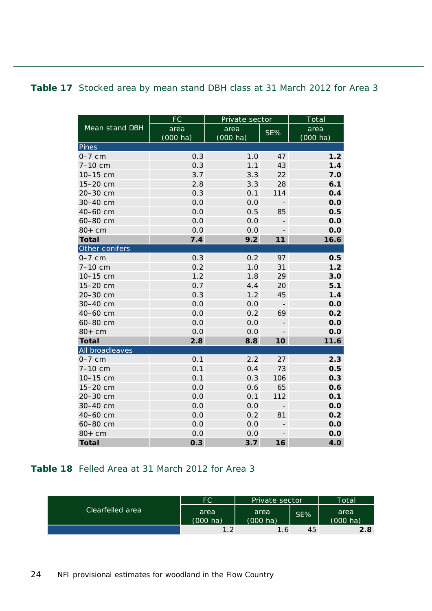#### <span id="page-23-0"></span>**Table 17** Stocked area by mean stand DBH class at 31 March 2012 for Area 3

|                 | FC                 | Private sector     | Total                    |                    |
|-----------------|--------------------|--------------------|--------------------------|--------------------|
| Mean stand DBH  | area               | area               | SE%                      | area               |
|                 | $(000 \text{ ha})$ | $(000 \text{ ha})$ |                          | $(000 \text{ ha})$ |
| Pines           |                    |                    |                          |                    |
| $0-7$ cm        | 0.3                | 1.0                | 47                       | 1.2                |
| $7 - 10$ cm     | 0.3                | 1.1                | 43                       | 1.4                |
| 10-15 cm        | 3.7                | 3.3                | 22                       | 7.0                |
| 15-20 cm        | 2.8                | 3.3                | 28                       | 6.1                |
| 20-30 cm        | 0.3                | 0.1                | 114                      | 0.4                |
| 30-40 cm        | 0.0                | 0.0                | $\overline{\phantom{0}}$ | 0.0                |
| 40-60 cm        | 0.0                | 0.5                | 85                       | 0.5                |
| 60-80 cm        | 0.0                | 0.0                |                          | 0.0                |
| $80+cm$         | 0.0                | 0.0                | $\overline{\phantom{a}}$ | 0.0                |
| <b>Total</b>    | 7.4                | 9.2                | 11                       | 16.6               |
| Other conifers  |                    |                    |                          |                    |
| $0-7$ cm        | 0.3                | 0.2                | 97                       | 0.5                |
| 7-10 cm         | 0.2                | 1.0                | 31                       | 1.2                |
| 10-15 cm        | 1.2                | 1.8                | 29                       | 3.0                |
| 15-20 cm        | 0.7                | 4.4                | 20                       | 5.1                |
| 20-30 cm        | 0.3                | 1.2                | 45                       | 1.4                |
| 30-40 cm        | 0.0                | 0.0                |                          | 0.0                |
| 40-60 cm        | 0.0                | 0.2                | 69                       | 0.2                |
| 60-80 cm        | 0.0                | 0.0                |                          | 0.0                |
| $80+cm$         | 0.0                | 0.0                |                          | 0.0                |
| <b>Total</b>    | 2.8                | 8.8                | 10                       | 11.6               |
| All broadleaves |                    |                    |                          |                    |
| $0-7$ cm        | 0.1                | 2.2                | 27                       | 2.3                |
| 7-10 cm         | 0.1                | 0.4                | 73                       | 0.5                |
| 10-15 cm        | 0.1                | 0.3                | 106                      | 0.3                |
| 15-20 cm        | 0.0                | 0.6                | 65                       | 0.6                |
| 20-30 cm        | 0.0                | 0.1                | 112                      | 0.1                |
| 30-40 cm        | 0.0                | 0.0                | $\overline{\phantom{m}}$ | 0.0                |
| 40-60 cm        | 0.0                | 0.2                | 81                       | 0.2                |
| 60-80 cm        | 0.0                | 0.0                | $\qquad \qquad -$        | 0.0                |
| $80+cm$         | 0.0                | 0.0                | $\overline{\phantom{a}}$ | 0.0                |
| <b>Total</b>    | 0.3                | 3.7                | 16                       | 4.0                |

#### <span id="page-23-1"></span>**Table 18** Felled Area at 31 March 2012 for Area 3

|                  | FC.                        | Private sector             |     | Total                      |
|------------------|----------------------------|----------------------------|-----|----------------------------|
| Clearfelled area | area<br>$(000 \text{ ha})$ | area<br>$(000 \text{ ha})$ | SE% | area<br>$(000 \text{ ha})$ |
|                  |                            | 1.6                        | 45  | 2.8                        |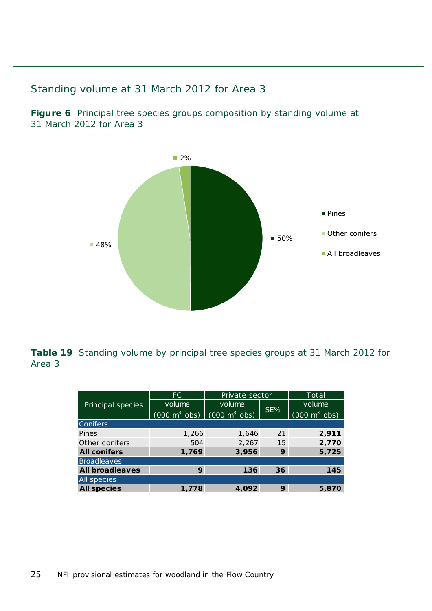#### <span id="page-24-0"></span>Standing volume at 31 March 2012 for Area 3

<span id="page-24-1"></span>**Figure 6** Principal tree species groups composition by standing volume at 31 March 2012 for Area 3



<span id="page-24-2"></span>**Table 19** Standing volume by principal tree species groups at 31 March 2012 for Area 3

|                        | FC.                                                             | Private sector |     | Total                               |
|------------------------|-----------------------------------------------------------------|----------------|-----|-------------------------------------|
| Principal species      | volume                                                          | volume         | SE% | volume                              |
|                        | $(000 \text{ m}^3 \text{ obs})$ $(000 \text{ m}^3 \text{ obs})$ |                |     | $(000 \; \text{m}^3 \; \text{obs})$ |
| <b>Conifers</b>        |                                                                 |                |     |                                     |
| Pines                  | 1,266                                                           | 1,646          | 21  | 2,911                               |
| Other conifers         | 504                                                             | 2,267          | 15  | 2,770                               |
| <b>All conifers</b>    | 1,769                                                           | 3,956          | 9   | 5,725                               |
| Broadleaves            |                                                                 |                |     |                                     |
| <b>All broadleaves</b> | 9                                                               | 136            | 36  | 145                                 |
| <b>All species</b>     |                                                                 |                |     |                                     |
| <b>All species</b>     | 1,778                                                           | 4,092          | 9   | 5,870                               |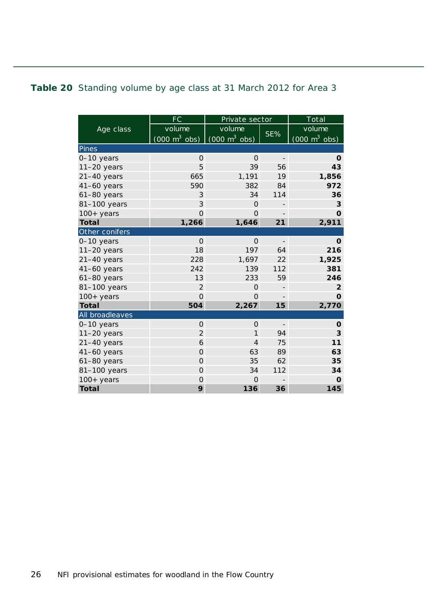#### <span id="page-25-0"></span>**Table 20** Standing volume by age class at 31 March 2012 for Area 3

|                 | <b>FC</b>                           | Private sector                      |                          | Total                               |
|-----------------|-------------------------------------|-------------------------------------|--------------------------|-------------------------------------|
| Age class       | volume                              | volume                              | SE%                      | volume                              |
|                 | $(000 \; \text{m}^3 \; \text{obs})$ | $(000 \; \text{m}^3 \; \text{obs})$ |                          | $(000 \; \text{m}^3 \; \text{obs})$ |
| Pines           |                                     |                                     |                          |                                     |
| 0-10 years      | $\mathbf 0$                         | $\Omega$                            | $\overline{a}$           | 0                                   |
| $11-20$ years   | 5                                   | 39                                  | 56                       | 43                                  |
| $21-40$ years   | 665                                 | 1,191                               | 19                       | 1,856                               |
| $41-60$ years   | 590                                 | 382                                 | 84                       | 972                                 |
| $61-80$ years   | 3                                   | 34                                  | 114                      | 36                                  |
| 81-100 years    | 3                                   | $\Omega$                            | $\overline{\phantom{0}}$ | 3                                   |
| $100+years$     | $\overline{O}$                      | $\Omega$                            |                          | $\mathbf 0$                         |
| <b>Total</b>    | 1,266                               | 1,646                               | 21                       | 2,911                               |
| Other conifers  |                                     |                                     |                          |                                     |
| 0-10 years      | $\Omega$                            | $\Omega$                            | $\qquad \qquad -$        | 0                                   |
| $11-20$ years   | 18                                  | 197                                 | 64                       | 216                                 |
| $21-40$ years   | 228                                 | 1,697                               | 22                       | 1,925                               |
| $41-60$ years   | 242                                 | 139                                 | 112                      | 381                                 |
| $61-80$ years   | 13                                  | 233                                 | 59                       | 246                                 |
| 81-100 years    | $\overline{2}$                      | $\Omega$                            | $\overline{a}$           | $\overline{2}$                      |
| $100+years$     | $\overline{O}$                      | $\Omega$                            |                          | $\Omega$                            |
| <b>Total</b>    | 504                                 | 2,267                               | 15                       | 2,770                               |
| All broadleaves |                                     |                                     |                          |                                     |
| 0-10 years      | $\mathbf{O}$                        | 0                                   | $\overline{\phantom{a}}$ | O                                   |
| $11-20$ years   | $\overline{2}$                      | 1                                   | 94                       | 3                                   |
| $21-40$ years   | 6                                   | $\overline{4}$                      | 75                       | 11                                  |
| $41-60$ years   | $\overline{O}$                      | 63                                  | 89                       | 63                                  |
| 61-80 years     | $\mathbf 0$                         | 35                                  | 62                       | 35                                  |
| 81-100 years    | $\overline{O}$                      | 34                                  | 112                      | 34                                  |
| $100+$ years    | $\mathbf 0$                         | $\Omega$                            |                          | O                                   |
| <b>Total</b>    | 9                                   | 136                                 | 36                       | 145                                 |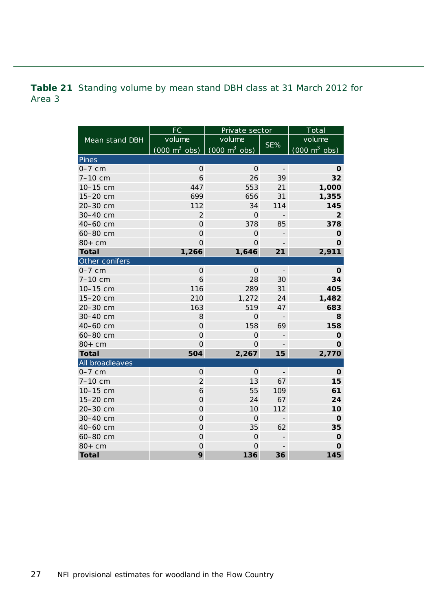<span id="page-26-0"></span>**Table 21** Standing volume by mean stand DBH class at 31 March 2012 for Area 3

|                 | FC                              | Private sector                  |                          | Total                               |
|-----------------|---------------------------------|---------------------------------|--------------------------|-------------------------------------|
| Mean stand DBH  | volume                          | volume                          | SE%                      | volume                              |
|                 | $(000 \text{ m}^3 \text{ obs})$ | $(000 \text{ m}^3 \text{ obs})$ |                          | $(000 \; \text{m}^3 \; \text{obs})$ |
| Pines           |                                 |                                 |                          |                                     |
| $0-7$ cm        | $\mathbf{O}$                    | $\mathsf{O}$                    | $\overline{\phantom{a}}$ | O                                   |
| 7-10 cm         | $\ddot{\mathbf{6}}$             | 26                              | 39                       | 32                                  |
| 10-15 cm        | 447                             | 553                             | 21                       | 1,000                               |
| 15-20 cm        | 699                             | 656                             | 31                       | 1,355                               |
| 20-30 cm        | 112                             | 34                              | 114                      | 145                                 |
| 30-40 cm        | $\overline{2}$                  | $\mathsf{O}\xspace$             | $\overline{\phantom{0}}$ | $\overline{2}$                      |
| 40-60 cm        | $\overline{O}$                  | 378                             | 85                       | 378                                 |
| 60-80 cm        | $\overline{O}$                  | $\overline{0}$                  | $\overline{a}$           | $\mathbf 0$                         |
| $80+cm$         | $\Omega$                        | $\Omega$                        |                          | $\mathbf 0$                         |
| <b>Total</b>    | 1,266                           | 1,646                           | 21                       | 2,911                               |
| Other conifers  |                                 |                                 |                          |                                     |
| $0-7$ cm        | $\mathsf{O}\xspace$             | $\mathsf{O}\xspace$             | $\overline{\phantom{a}}$ | O                                   |
| 7-10 cm         | $\ddot{\mathbf{6}}$             | 28                              | 30                       | 34                                  |
| 10-15 cm        | 116                             | 289                             | 31                       | 405                                 |
| 15-20 cm        | 210                             | 1,272                           | 24                       | 1,482                               |
| 20-30 cm        | 163                             | 519                             | 47                       | 683                                 |
| 30-40 cm        | 8                               | $\overline{O}$                  |                          | 8                                   |
| 40-60 cm        | $\overline{O}$                  | 158                             | 69                       | 158                                 |
| 60-80 cm        | $\overline{O}$                  | $\mathsf{O}\xspace$             | $\overline{\phantom{m}}$ | $\mathbf 0$                         |
| $80+cm$         | $\overline{O}$                  | 0                               | $\overline{\phantom{0}}$ | $\mathbf 0$                         |
| <b>Total</b>    | 504                             | 2,267                           | 15                       | 2,770                               |
| All broadleaves |                                 |                                 |                          |                                     |
| $0-7$ cm        | $\mathsf{O}\xspace$             | $\mathsf O$                     | $\overline{\phantom{a}}$ | O                                   |
| 7-10 cm         | $\overline{2}$                  | 13                              | 67                       | 15                                  |
| 10-15 cm        | 6                               | 55                              | 109                      | 61                                  |
| 15-20 cm        | $\overline{O}$                  | 24                              | 67                       | 24                                  |
| 20-30 cm        | $\mathbf 0$                     | 10                              | 112                      | 10                                  |
| 30-40 cm        | $\mathsf{O}\xspace$             | $\mathsf{O}$                    | $\qquad \qquad -$        | $\mathbf 0$                         |
| 40-60 cm        | $\mathsf{O}\xspace$             | 35                              | 62                       | 35                                  |
| 60-80 cm        | $\overline{0}$                  | $\overline{O}$                  | $\overline{\phantom{m}}$ | $\mathbf 0$                         |
| $80+cm$         | $\overline{0}$                  | $\mathbf 0$                     | $\overline{\phantom{m}}$ | $\mathbf 0$                         |
| <b>Total</b>    | 9                               | 136                             | 36                       | 145                                 |